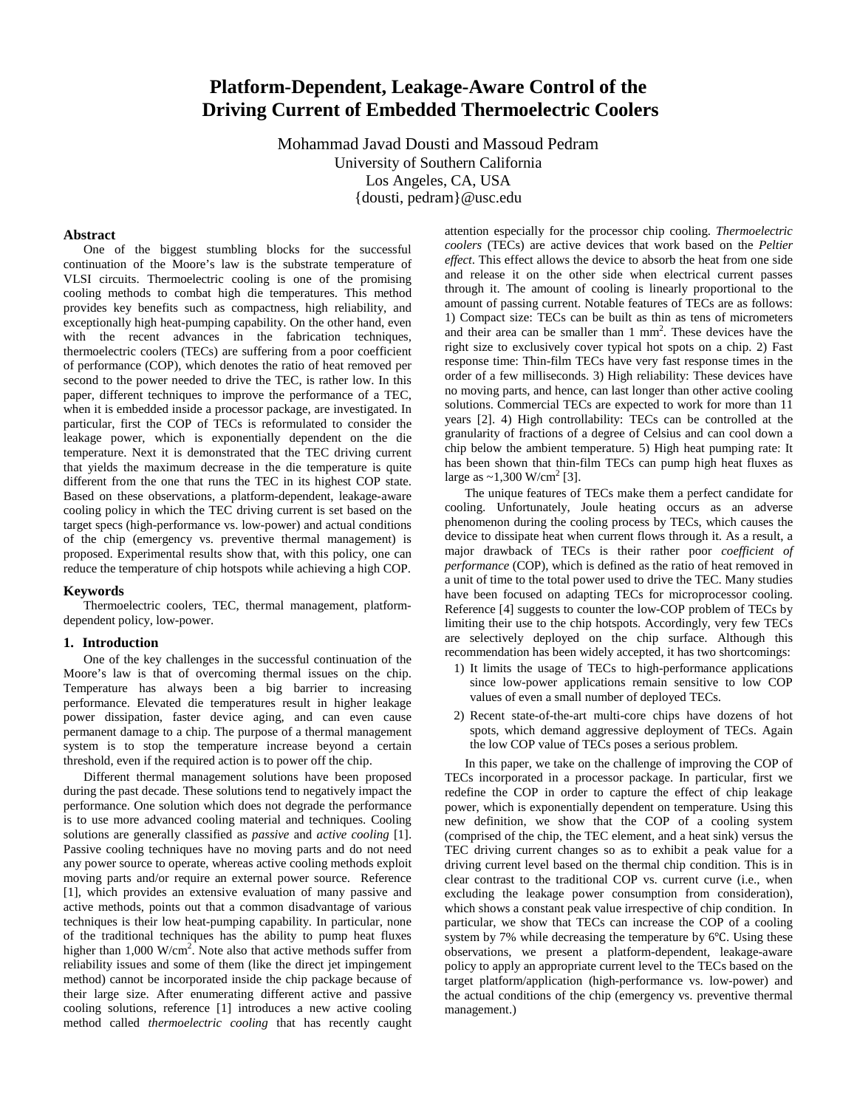# **Platform-Dependent, Leakage-Aware Control of the Driving Current of Embedded Thermoelectric Coolers**

Mohammad Javad Dousti and Massoud Pedram University of Southern California Los Angeles, CA, USA {dousti, pedram}@usc.edu

### **Abstract**

One of the biggest stumbling blocks for the successful continuation of the Moore's law is the substrate temperature of VLSI circuits. Thermoelectric cooling is one of the promising cooling methods to combat high die temperatures. This method provides key benefits such as compactness, high reliability, and exceptionally high heat-pumping capability. On the other hand, even with the recent advances in the fabrication techniques, thermoelectric coolers (TECs) are suffering from a poor coefficient of performance (COP), which denotes the ratio of heat removed per second to the power needed to drive the TEC, is rather low. In this paper, different techniques to improve the performance of a TEC, when it is embedded inside a processor package, are investigated. In particular, first the COP of TECs is reformulated to consider the leakage power, which is exponentially dependent on the die temperature. Next it is demonstrated that the TEC driving current that yields the maximum decrease in the die temperature is quite different from the one that runs the TEC in its highest COP state. Based on these observations, a platform-dependent, leakage-aware cooling policy in which the TEC driving current is set based on the target specs (high-performance vs. low-power) and actual conditions of the chip (emergency vs. preventive thermal management) is proposed. Experimental results show that, with this policy, one can reduce the temperature of chip hotspots while achieving a high COP.

### **Keywords**

Thermoelectric coolers, TEC, thermal management, platformdependent policy, low-power.

#### **1. Introduction**

One of the key challenges in the successful continuation of the Moore's law is that of overcoming thermal issues on the chip. Temperature has always been a big barrier to increasing performance. Elevated die temperatures result in higher leakage power dissipation, faster device aging, and can even cause permanent damage to a chip. The purpose of a thermal management system is to stop the temperature increase beyond a certain threshold, even if the required action is to power off the chip.

Different thermal management solutions have been proposed during the past decade. These solutions tend to negatively impact the performance. One solution which does not degrade the performance is to use more advanced cooling material and techniques. Cooling solutions are generally classified as *passive* and *active cooling* [1]. Passive cooling techniques have no moving parts and do not need any power source to operate, whereas active cooling methods exploit moving parts and/or require an external power source. Reference [1], which provides an extensive evaluation of many passive and active methods, points out that a common disadvantage of various techniques is their low heat-pumping capability. In particular, none of the traditional techniques has the ability to pump heat fluxes higher than  $1,000 \text{ W/cm}^2$ . Note also that active methods suffer from reliability issues and some of them (like the direct jet impingement method) cannot be incorporated inside the chip package because of their large size. After enumerating different active and passive cooling solutions, reference [1] introduces a new active cooling method called *thermoelectric cooling* that has recently caught

attention especially for the processor chip cooling. *Thermoelectric coolers* (TECs) are active devices that work based on the *Peltier effect*. This effect allows the device to absorb the heat from one side and release it on the other side when electrical current passes through it. The amount of cooling is linearly proportional to the amount of passing current. Notable features of TECs are as follows: 1) Compact size: TECs can be built as thin as tens of micrometers and their area can be smaller than 1 mm<sup>2</sup>. These devices have the right size to exclusively cover typical hot spots on a chip. 2) Fast response time: Thin-film TECs have very fast response times in the order of a few milliseconds. 3) High reliability: These devices have no moving parts, and hence, can last longer than other active cooling solutions. Commercial TECs are expected to work for more than 11 years [2]. 4) High controllability: TECs can be controlled at the granularity of fractions of a degree of Celsius and can cool down a chip below the ambient temperature. 5) High heat pumping rate: It has been shown that thin-film TECs can pump high heat fluxes as large as  $\sim$ 1,300 W/cm<sup>2</sup> [3].

The unique features of TECs make them a perfect candidate for cooling. Unfortunately, Joule heating occurs as an adverse phenomenon during the cooling process by TECs, which causes the device to dissipate heat when current flows through it. As a result, a major drawback of TECs is their rather poor *coefficient of performance* (COP), which is defined as the ratio of heat removed in a unit of time to the total power used to drive the TEC. Many studies have been focused on adapting TECs for microprocessor cooling. Reference [4] suggests to counter the low-COP problem of TECs by limiting their use to the chip hotspots. Accordingly, very few TECs are selectively deployed on the chip surface. Although this recommendation has been widely accepted, it has two shortcomings:

- 1) It limits the usage of TECs to high-performance applications since low-power applications remain sensitive to low COP values of even a small number of deployed TECs.
- 2) Recent state-of-the-art multi-core chips have dozens of hot spots, which demand aggressive deployment of TECs. Again the low COP value of TECs poses a serious problem.

In this paper, we take on the challenge of improving the COP of TECs incorporated in a processor package. In particular, first we redefine the COP in order to capture the effect of chip leakage power, which is exponentially dependent on temperature. Using this new definition, we show that the COP of a cooling system (comprised of the chip, the TEC element, and a heat sink) versus the TEC driving current changes so as to exhibit a peak value for a driving current level based on the thermal chip condition. This is in clear contrast to the traditional COP vs. current curve (i.e., when excluding the leakage power consumption from consideration), which shows a constant peak value irrespective of chip condition. In particular, we show that TECs can increase the COP of a cooling system by 7% while decreasing the temperature by 6℃. Using these observations, we present a platform-dependent, leakage-aware policy to apply an appropriate current level to the TECs based on the target platform/application (high-performance vs. low-power) and the actual conditions of the chip (emergency vs. preventive thermal management.)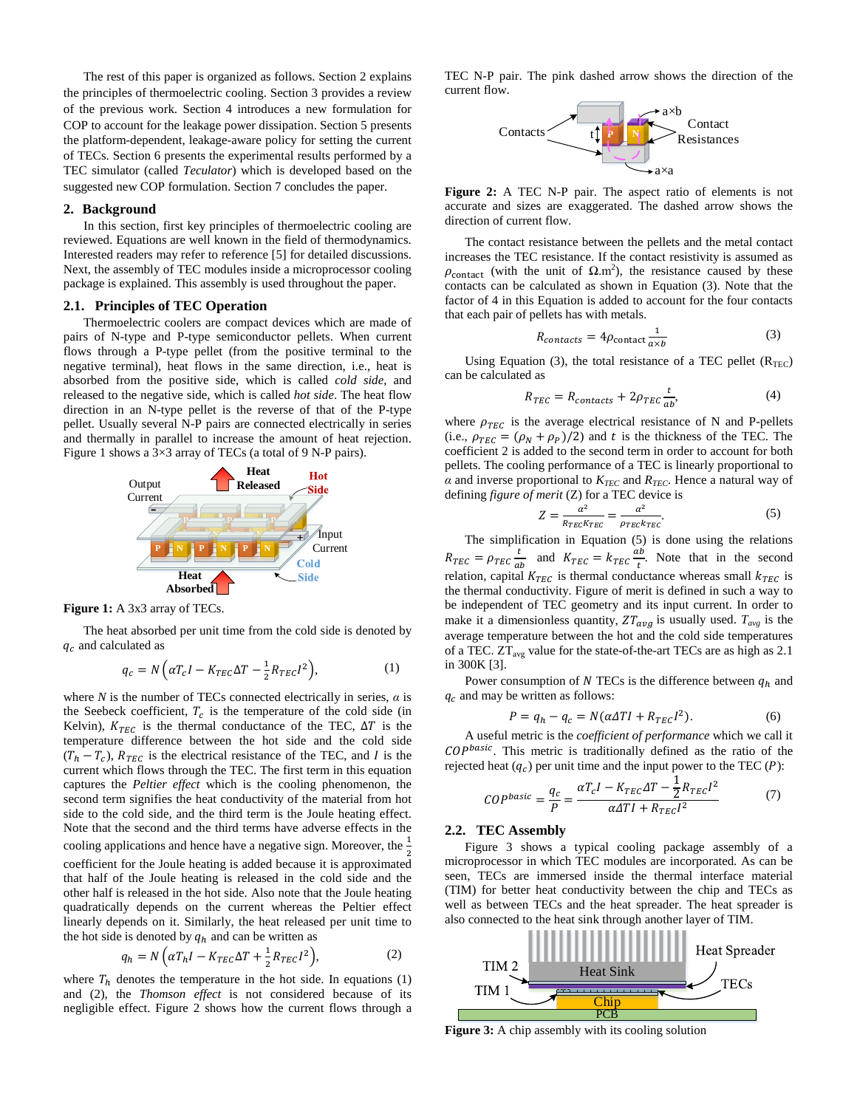The rest of this paper is organized as follows. Section [2](#page-1-0) explains the principles of thermoelectric cooling. Section [3](#page-2-0) provides a review of the previous work. Section [4](#page-2-1) introduces a new formulation for COP to account for the leakage power dissipation. Section [5](#page-3-0) presents the platform-dependent, leakage-aware policy for setting the current of TECs. Section [6](#page-3-1) presents the experimental results performed by a TEC simulator (called *Teculator*) which is developed based on the suggested new COP formulation. Sectio[n 7](#page-5-0) concludes the paper.

#### <span id="page-1-0"></span>**2. Background**

In this section, first key principles of thermoelectric cooling are reviewed. Equations are well known in the field of thermodynamics. Interested readers may refer to reference [5] for detailed discussions. Next, the assembly of TEC modules inside a microprocessor cooling package is explained. This assembly is used throughout the paper.

## **2.1. Principles of TEC Operation**

Thermoelectric coolers are compact devices which are made of pairs of N-type and P-type semiconductor pellets. When current flows through a P-type pellet (from the positive terminal to the negative terminal), heat flows in the same direction, i.e., heat is absorbed from the positive side, which is called *cold side*, and released to the negative side, which is called *hot side*. The heat flow direction in an N-type pellet is the reverse of that of the P-type pellet. Usually several N-P pairs are connected electrically in series and thermally in parallel to increase the amount of heat rejection. [Figure 1](#page-1-1) shows a 3×3 array of TECs (a total of 9 N-P pairs).



<span id="page-1-1"></span>**Figure 1:** A 3x3 array of TECs.

The heat absorbed per unit time from the cold side is denoted by  $q_c$  and calculated as

$$
q_c = N\left(\alpha T_c I - K_{TEC} \Delta T - \frac{1}{2} R_{TEC} I^2\right),\tag{1}
$$

where *N* is the number of TECs connected electrically in series,  $\alpha$  is the Seebeck coefficient,  $T_c$  is the temperature of the cold side (in Kelvin),  $K_{TEC}$  is the thermal conductance of the TEC,  $\Delta T$  is the temperature difference between the hot side and the cold side  $(T_h - T_c)$ ,  $R_{TEC}$  is the electrical resistance of the TEC, and I is the current which flows through the TEC. The first term in this equation captures the *Peltier effect* which is the cooling phenomenon, the second term signifies the heat conductivity of the material from hot side to the cold side, and the third term is the Joule heating effect. Note that the second and the third terms have adverse effects in the cooling applications and hence have a negative sign. Moreover, the  $\frac{1}{2}$ 2 coefficient for the Joule heating is added because it is approximated that half of the Joule heating is released in the cold side and the other half is released in the hot side. Also note that the Joule heating quadratically depends on the current whereas the Peltier effect linearly depends on it. Similarly, the heat released per unit time to the hot side is denoted by  $q_h$  and can be written as

$$
q_h = N\left(\alpha T_h I - K_{TEC} \Delta T + \frac{1}{2} R_{TEC} I^2\right),\tag{2}
$$

where  $T_h$  denotes the temperature in the hot side. In equations (1) and (2), the *Thomson effect* is not considered because of its negligible effect. [Figure 2](#page-1-2) shows how the current flows through a TEC N-P pair. The pink dashed arrow shows the direction of the current flow.



<span id="page-1-2"></span>**Figure 2:** A TEC N-P pair. The aspect ratio of elements is not accurate and sizes are exaggerated. The dashed arrow shows the direction of current flow.

The contact resistance between the pellets and the metal contact increases the TEC resistance. If the contact resistivity is assumed as  $\rho_{\text{contact}}$  (with the unit of  $\Omega \text{.m}^2$ ), the resistance caused by these contacts can be calculated as shown in Equation (3). Note that the factor of 4 in this Equation is added to account for the four contacts that each pair of pellets has with metals.

$$
R_{contacts} = 4\rho_{\text{contact}} \frac{1}{a \times b} \tag{3}
$$

Using Equation (3), the total resistance of a TEC pellet  $(R_{TEC})$ can be calculated as

$$
R_{TEC} = R_{contacts} + 2\rho_{TEC} \frac{t}{ab},\tag{4}
$$

where  $\rho_{TEC}$  is the average electrical resistance of N and P-pellets (i.e.,  $\rho_{TEC} = (\rho_N + \rho_P)/2$ ) and t is the thickness of the TEC. The coefficient 2 is added to the second term in order to account for both pellets. The cooling performance of a TEC is linearly proportional to  $\alpha$  and inverse proportional to  $K_{TEC}$  and  $R_{TEC}$ . Hence a natural way of defining *figure of merit* (Z) for a TEC device is

$$
Z = \frac{\alpha^2}{R_{TEC}K_{TEC}} = \frac{\alpha^2}{\rho_{TEC}K_{TEC}}.\tag{5}
$$

The simplification in Equation (5) is done using the relations  $R_{TEC} = \rho_{TEC} \frac{t}{ab}$  and  $K_{TEC} = k_{TEC} \frac{ab}{t}$ . Note that in the second relation, capital  $K_{TEC}$  is thermal conductance whereas small  $k_{TEC}$  is the thermal conductivity. Figure of merit is defined in such a way to be independent of TEC geometry and its input current. In order to make it a dimensionless quantity,  $ZT_{avg}$  is usually used.  $T_{avg}$  is the average temperature between the hot and the cold side temperatures of a TEC.  $ZT_{avg}$  value for the state-of-the-art TECs are as high as 2.1 in 300K [3].

Power consumption of N TECs is the difference between  $q_h$  and  $q_c$  and may be written as follows:

$$
P = q_h - q_c = N(\alpha \Delta T I + R_{TEC} I^2). \tag{6}
$$

A useful metric is the *coefficient of performance* which we call it COPbasic. This metric is traditionally defined as the ratio of the rejected heat  $(q_c)$  per unit time and the input power to the TEC  $(P)$ :

$$
COPbasic = \frac{q_c}{P} = \frac{\alpha T_c I - K_{TEC} \Delta T - \frac{1}{2} R_{TEC} I^2}{\alpha \Delta T I + R_{TEC} I^2}
$$
(7)

## **2.2. TEC Assembly**

[Figure 3](#page-1-3) shows a typical cooling package assembly of a microprocessor in which TEC modules are incorporated. As can be seen, TECs are immersed inside the thermal interface material (TIM) for better heat conductivity between the chip and TECs as well as between TECs and the heat spreader. The heat spreader is also connected to the heat sink through another layer of TIM.



<span id="page-1-3"></span>**Figure 3:** A chip assembly with its cooling solution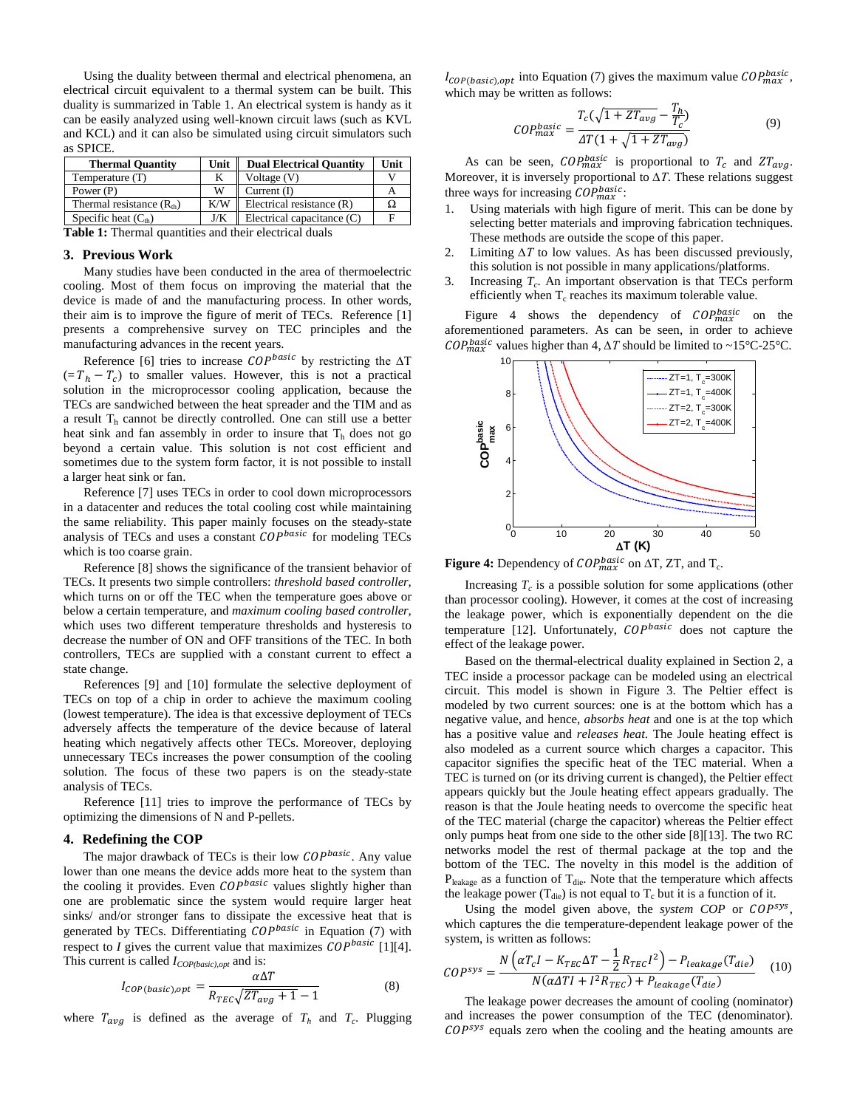Using the duality between thermal and electrical phenomena, an electrical circuit equivalent to a thermal system can be built. This duality is summarized in [Table 1.](#page-2-2) An electrical system is handy as it can be easily analyzed using well-known circuit laws (such as KVL and KCL) and it can also be simulated using circuit simulators such as SPICE.

| <b>Thermal Quantity</b>    | Unit | <b>Dual Electrical Quantity</b> | Unit |
|----------------------------|------|---------------------------------|------|
| Temperature (T)            |      | Voltage (V)                     |      |
| Power (P)                  | w    | Current $(I)$                   |      |
| Thermal resistance $(Rth)$ | K/W  | Electrical resistance (R)       |      |
| Specific heat $(Cth)$      | J/K  | Electrical capacitance $(C)$    |      |

<span id="page-2-2"></span>**Table 1:** Thermal quantities and their electrical duals

#### <span id="page-2-0"></span>**3. Previous Work**

Many studies have been conducted in the area of thermoelectric cooling. Most of them focus on improving the material that the device is made of and the manufacturing process. In other words, their aim is to improve the figure of merit of TECs. Reference [1] presents a comprehensive survey on TEC principles and the manufacturing advances in the recent years.

Reference [6] tries to increase  $\mathcal{C}OP^{basic}$  by restricting the  $\Delta T$  $(= T_h - T_c)$  to smaller values. However, this is not a practical solution in the microprocessor cooling application, because the TECs are sandwiched between the heat spreader and the TIM and as a result  $T<sub>h</sub>$  cannot be directly controlled. One can still use a better heat sink and fan assembly in order to insure that  $T<sub>h</sub>$  does not go beyond a certain value. This solution is not cost efficient and sometimes due to the system form factor, it is not possible to install a larger heat sink or fan.

Reference [7] uses TECs in order to cool down microprocessors in a datacenter and reduces the total cooling cost while maintaining the same reliability. This paper mainly focuses on the steady-state analysis of TECs and uses a constant  $\mathit{COP}^{\mathit{basic}}$  for modeling TECs which is too coarse grain.

Reference [8] shows the significance of the transient behavior of TECs. It presents two simple controllers: *threshold based controller,* which turns on or off the TEC when the temperature goes above or below a certain temperature, and *maximum cooling based controller,* which uses two different temperature thresholds and hysteresis to decrease the number of ON and OFF transitions of the TEC. In both controllers, TECs are supplied with a constant current to effect a state change.

References [9] and [10] formulate the selective deployment of TECs on top of a chip in order to achieve the maximum cooling (lowest temperature). The idea is that excessive deployment of TECs adversely affects the temperature of the device because of lateral heating which negatively affects other TECs. Moreover, deploying unnecessary TECs increases the power consumption of the cooling solution. The focus of these two papers is on the steady-state analysis of TECs.

Reference [11] tries to improve the performance of TECs by optimizing the dimensions of N and P-pellets.

# <span id="page-2-1"></span>**4. Redefining the COP**

The major drawback of TECs is their low  $\mathcal{C}OP^{basic}$ . Any value lower than one means the device adds more heat to the system than the cooling it provides. Even  $\mathcal{C}OP^{basic}$  values slightly higher than one are problematic since the system would require larger heat sinks/ and/or stronger fans to dissipate the excessive heat that is generated by TECs. Differentiating  $\mathcal{C}OP^{basic}$  in Equation (7) with respect to  $I$  gives the current value that maximizes  $\text{COP}^{\text{basic}}$  [1][4]. This current is called *I<sub>COP(basic),opt</sub>* and is:

$$
I_{\text{COP(basic), opt}} = \frac{\alpha \Delta T}{R_{\text{TEC}} \sqrt{Z T_{\text{avg}} + 1} - 1}
$$
(8)

where  $T_{ava}$  is defined as the average of  $T_h$  and  $T_c$ . Plugging

 $I_{\text{COP}(basic), opt}$  into Equation (7) gives the maximum value  $\text{COP}_{\text{max}}^{\text{basic}}$ , which may be written as follows:

$$
COP_{max}^{basic} = \frac{T_c(\sqrt{1 + ZT_{avg}} - \frac{T_h}{T_c})}{\Delta T(1 + \sqrt{1 + ZT_{avg}})}
$$
(9)

As can be seen,  $\text{COP}_{\text{max}}^{\text{basic}}$  is proportional to  $T_c$  and  $\text{ZT}_{\text{avg}}$ . Moreover, it is inversely proportional to *∆T*. These relations suggest three ways for increasing  $\mathcal{C}OP_{max}^{basic}$ :

- 1. Using materials with high figure of merit. This can be done by selecting better materials and improving fabrication techniques. These methods are outside the scope of this paper.
- 2. Limiting *∆T* to low values. As has been discussed previously, this solution is not possible in many applications/platforms.
- 3. Increasing  $T_c$ . An important observation is that TECs perform efficiently when  $T_c$  reaches its maximum tolerable value.

[Figure 4](#page-2-3) shows the dependency of  $\text{COP}_{\text{max}}^{\text{basic}}$  on the aforementioned parameters. As can be seen, in order to achieve  $\mathit{COP}^{basic}_{max}$  values higher than 4,  $\Delta T$  should be limited to ~15°C-25°C.



<span id="page-2-3"></span>**Figure 4:** Dependency of  $\mathit{COP}^{basic}_{max}$  on  $\Delta T$ ,  $\mathit{ZT}$ , and  $T_c$ .

Increasing  $T_c$  is a possible solution for some applications (other than processor cooling). However, it comes at the cost of increasing the leakage power, which is exponentially dependent on the die temperature [12]. Unfortunately,  $\mathcal{C}OP^{basic}$  does not capture the effect of the leakage power.

Based on the thermal-electrical duality explained in Section [2,](#page-1-0) a TEC inside a processor package can be modeled using an electrical circuit. This model is shown in [Figure](#page-1-3) 3. The Peltier effect is modeled by two current sources: one is at the bottom which has a negative value, and hence, *absorbs heat* and one is at the top which has a positive value and *releases heat*. The Joule heating effect is also modeled as a current source which charges a capacitor. This capacitor signifies the specific heat of the TEC material. When a TEC is turned on (or its driving current is changed), the Peltier effect appears quickly but the Joule heating effect appears gradually. The reason is that the Joule heating needs to overcome the specific heat of the TEC material (charge the capacitor) whereas the Peltier effect only pumps heat from one side to the other side [8][13]. The two RC networks model the rest of thermal package at the top and the bottom of the TEC. The novelty in this model is the addition of  $P_{\text{leakage}}$  as a function of  $T_{\text{die}}$ . Note that the temperature which affects the leakage power ( $T_{die}$ ) is not equal to  $T_c$  but it is a function of it.

Using the model given above, the *system COP* or COP<sup>sys</sup>, which captures the die temperature-dependent leakage power of the system, is written as follows:

$$
COP^{sys} = \frac{N\left(\alpha T_c I - K_{TEC} \Delta T - \frac{1}{2} R_{TEC} I^2\right) - P_{leakage}(T_{die})}{N(\alpha \Delta T I + I^2 R_{TEC}) + P_{leakage}(T_{die})}
$$
(10)

The leakage power decreases the amount of cooling (nominator) and increases the power consumption of the TEC (denominator).  $COP<sup>sys</sup>$  equals zero when the cooling and the heating amounts are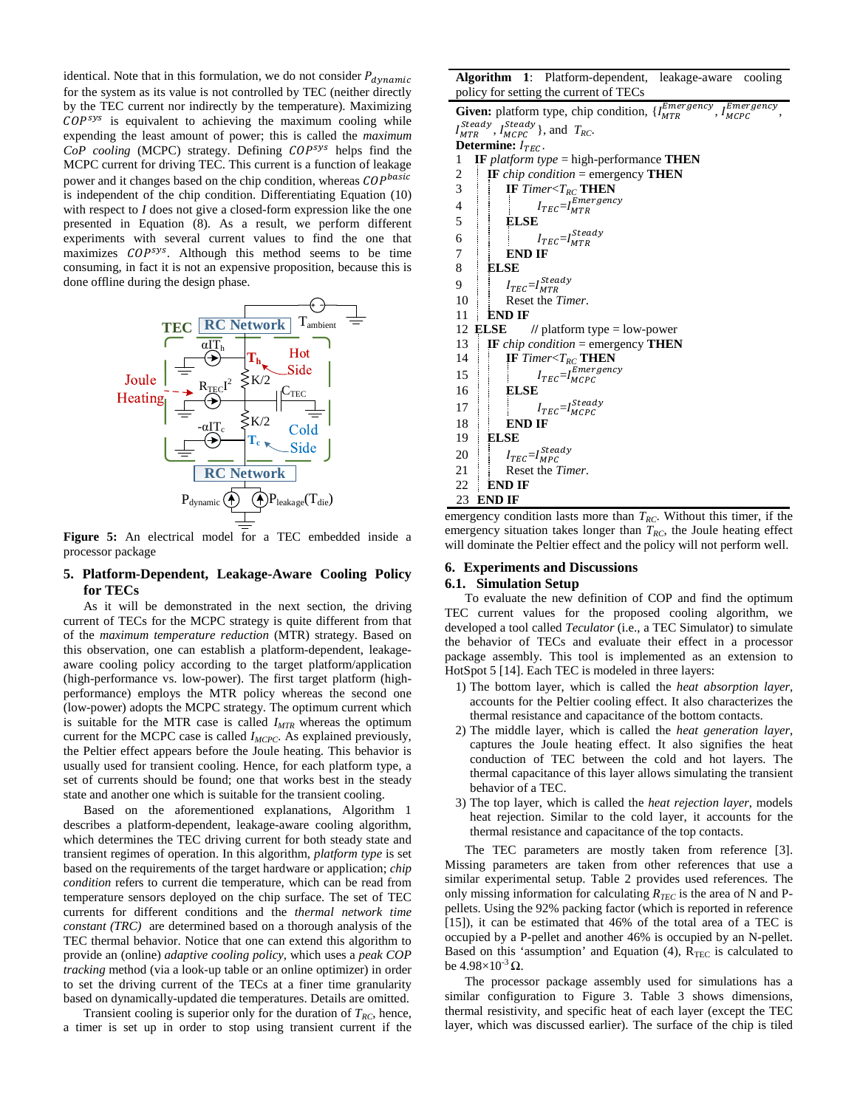identical. Note that in this formulation, we do not consider  $P_{dynamic}$ for the system as its value is not controlled by TEC (neither directly by the TEC current nor indirectly by the temperature). Maximizing  $COP<sup>sys</sup>$  is equivalent to achieving the maximum cooling while expending the least amount of power; this is called the *maximum*  CoP cooling (MCPC) strategy. Defining  $COP^{sys}$  helps find the MCPC current for driving TEC. This current is a function of leakage power and it changes based on the chip condition, whereas COPbasic is independent of the chip condition. Differentiating Equation (10) with respect to *I* does not give a closed-form expression like the one presented in Equation (8). As a result, we perform different experiments with several current values to find the one that maximizes  $COP^{sys}$ . Although this method seems to be time consuming, in fact it is not an expensive proposition, because this is done offline during the design phase.



**Figure 5:** An electrical model for a TEC embedded inside a processor package

# <span id="page-3-0"></span>**5. Platform-Dependent, Leakage-Aware Cooling Policy for TECs**

As it will be demonstrated in the next section, the driving current of TECs for the MCPC strategy is quite different from that of the *maximum temperature reduction* (MTR) strategy. Based on this observation, one can establish a platform-dependent, leakageaware cooling policy according to the target platform/application (high-performance vs. low-power). The first target platform (highperformance) employs the MTR policy whereas the second one (low-power) adopts the MCPC strategy. The optimum current which is suitable for the MTR case is called  $I_{MTR}$  whereas the optimum current for the MCPC case is called *I<sub>MCPC</sub>*. As explained previously, the Peltier effect appears before the Joule heating. This behavior is usually used for transient cooling. Hence, for each platform type, a set of currents should be found; one that works best in the steady state and another one which is suitable for the transient cooling.

Based on the aforementioned explanations, [Algorithm 1](#page-3-2) describes a platform-dependent, leakage-aware cooling algorithm, which determines the TEC driving current for both steady state and transient regimes of operation. In this algorithm, *platform type* is set based on the requirements of the target hardware or application; *chip condition* refers to current die temperature, which can be read from temperature sensors deployed on the chip surface. The set of TEC currents for different conditions and the *thermal network time constant (TRC)* are determined based on a thorough analysis of the TEC thermal behavior. Notice that one can extend this algorithm to provide an (online) *adaptive cooling policy,* which uses a *peak COP tracking* method (via a look-up table or an online optimizer) in order to set the driving current of the TECs at a finer time granularity based on dynamically-updated die temperatures. Details are omitted.

Transient cooling is superior only for the duration of  $T_{RC}$ , hence, a timer is set up in order to stop using transient current if the

<span id="page-3-2"></span>**Algorithm 1**: Platform-dependent, leakage-aware cooling policy for setting the current of TECs

**Given:** platform type, chip condition,  $\{I_{MTR}^{Emergency}, I_{MCPC}^{Emerg} \}$ , I<sup>Emergency</sup>  $I_{MTR}^{Steady}$ ,  $I_{MCPC}^{Steady}$ }, and  $T_{RC}$ . **Determine:**  $I_{TEC}$ .<br>1 **IF** platform tv 1 **IF** *platform type* = high-performance **THEN** 2 **IF** *chip condition* = emergency **THEN** 3 **IF** *Timer*<*T<sub>RC</sub>* **THEN** 4  $I_{TEC} = I_{MTR}^{Emergency}$ 5 **ELSE** 6  $I_{TEC} = I_{MTR}^{Steady}$ 7 **END IF** 8 **ELSE** 9  $I_{TEC} = I_{MTR}^{Steady}$ 10 Reset the *Timer*. 11 **END IF** 12 **ELSE //** platform type = low-power 13 **IF** *chip condition* = emergency **THEN**  $14$  **IF** *Timer*<*T<sub>RC</sub>* **THEN**  $15$   $I_{TEC} = I_{MCPC}^{Energy}$ 16 **ELSE**  $17$   $I_{TEC} = I_{MCPC}^{Steady}$ 18 **END IF**<br>19 **ELSE** 19 **ELSE** 20  $I_{TEC} = I_{MPC}^{Steady}$ 21 Reset the *Timer*.<br>22 **END IF** 22 **END IF** 23 **END IF**

emergency condition lasts more than  $T_{RC}$ . Without this timer, if the emergency situation takes longer than  $T_{RC}$ , the Joule heating effect will dominate the Peltier effect and the policy will not perform well.

# <span id="page-3-1"></span>**6. Experiments and Discussions**

# **6.1. Simulation Setup**

To evaluate the new definition of COP and find the optimum TEC current values for the proposed cooling algorithm, we developed a tool called *Teculator* (i.e., a TEC Simulator) to simulate the behavior of TECs and evaluate their effect in a processor package assembly. This tool is implemented as an extension to HotSpot 5 [14]. Each TEC is modeled in three layers:

- 1) The bottom layer, which is called the *heat absorption layer*, accounts for the Peltier cooling effect. It also characterizes the thermal resistance and capacitance of the bottom contacts.
- 2) The middle layer, which is called the *heat generation layer*, captures the Joule heating effect. It also signifies the heat conduction of TEC between the cold and hot layers. The thermal capacitance of this layer allows simulating the transient behavior of a TEC.
- 3) The top layer, which is called the *heat rejection layer*, models heat rejection. Similar to the cold layer, it accounts for the thermal resistance and capacitance of the top contacts.

The TEC parameters are mostly taken from reference [3]. Missing parameters are taken from other references that use a similar experimental setup. [Table 2](#page-4-0) provides used references. The only missing information for calculating  $R_{TEC}$  is the area of N and Ppellets. Using the 92% packing factor (which is reported in reference [15]), it can be estimated that 46% of the total area of a TEC is occupied by a P-pellet and another 46% is occupied by an N-pellet. Based on this 'assumption' and Equation  $(4)$ ,  $R_{TEC}$  is calculated to be  $4.98\times10^{-3}$  Ω.

The processor package assembly used for simulations has a similar configuration to [Figure 3.](#page-1-3) [Table 3](#page-4-1) shows dimensions, thermal resistivity, and specific heat of each layer (except the TEC layer, which was discussed earlier). The surface of the chip is tiled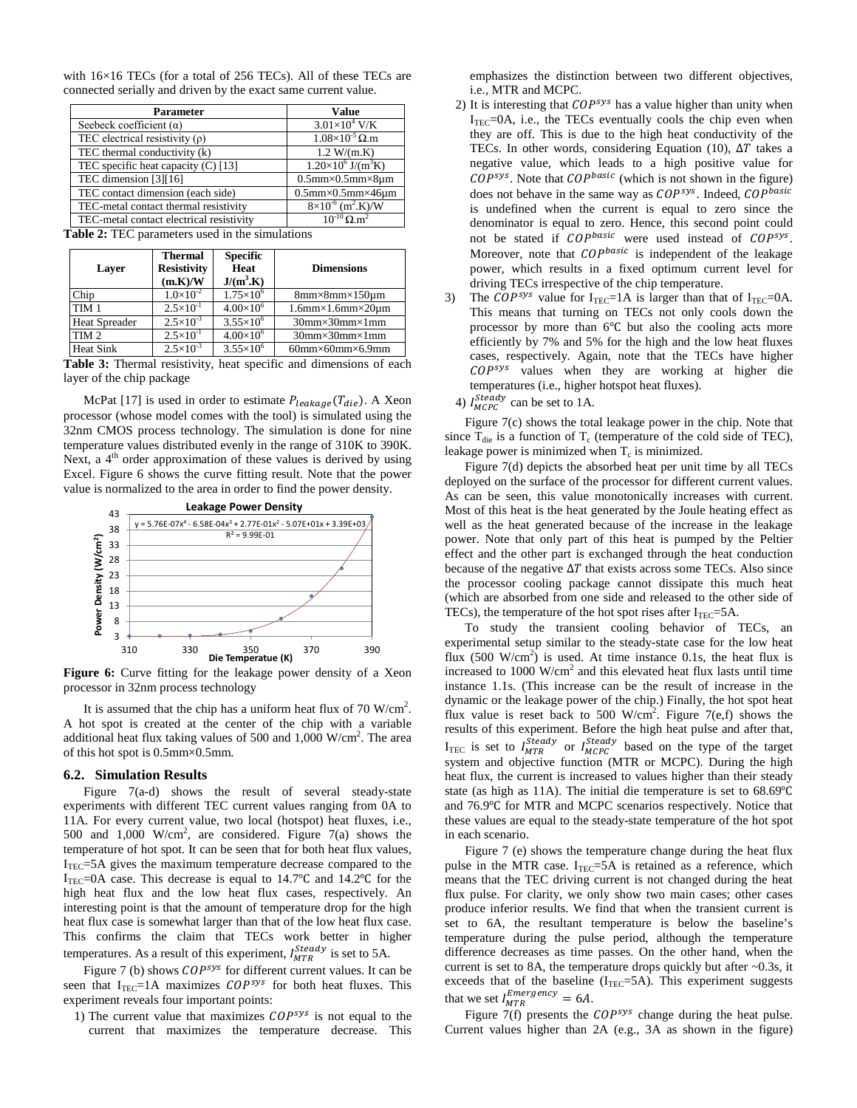with 16×16 TECs (for a total of 256 TECs). All of these TECs are connected serially and driven by the exact same current value.

| Value                                       |
|---------------------------------------------|
| $3.01\times10^4$ V/K                        |
| $1.08\times10^{-5}$ Q.m                     |
| 1.2 W/(m.K)                                 |
| $1.20\times10^6$ J/(m <sup>3</sup> K)       |
| $0.5$ mm $\times$ 0.5mm $\times$ 8um        |
| $0.5$ mm $\times$ 0.5mm $\times$ 46 $\mu$ m |
| $8\times10^{-6}$ (m <sup>2</sup> .K)/W      |
| $10^{-10}$ O m <sup>2</sup>                 |
|                                             |

<span id="page-4-0"></span>**Table 2:** TEC parameters used in the simulations

| Laver                | <b>Thermal</b><br><b>Resistivity</b><br>(m.K)/W | <b>Specific</b><br>Heat<br>$J/(m^3.K)$ | <b>Dimensions</b>                           |
|----------------------|-------------------------------------------------|----------------------------------------|---------------------------------------------|
| Chip                 | $1.0\times10^{-2}$                              | $1.75\times10^{6}$                     | $8mm \times 8mm \times 150 \text{µm}$       |
| TIM <sub>1</sub>     | $2.5 \times 10^{-1}$                            | $4.00\times10^{6}$                     | $1.6$ mm $\times$ 1.6mm $\times$ 20 $\mu$ m |
| <b>Heat Spreader</b> | $2.5 \times 10^{-3}$                            | $3.55\times10^{6}$                     | $30$ mm $\times$ 30mm $\times$ 1mm          |
| TIM <sub>2</sub>     | $2.5 \times 10^{-1}$                            | $4.00\times10^{6}$                     | $30$ mm $\times$ 30mm $\times$ 1mm          |
| <b>Heat Sink</b>     | $2.5 \times 10^{-3}$                            | $3.55\times10^{6}$                     | $60$ mm× $60$ mm× $6.9$ mm                  |

<span id="page-4-1"></span>**Table 3:** Thermal resistivity, heat specific and dimensions of each layer of the chip package

McPat [17] is used in order to estimate  $P_{leakaae}(T_{die})$ . A Xeon processor (whose model comes with the tool) is simulated using the 32nm CMOS process technology. The simulation is done for nine temperature values distributed evenly in the range of 310K to 390K. Next, a  $4<sup>th</sup>$  order approximation of these values is derived by using Excel. [Figure 6](#page-4-2) shows the curve fitting result. Note that the power value is normalized to the area in order to find the power density.



<span id="page-4-2"></span>**Figure 6:** Curve fitting for the leakage power density of a Xeon processor in 32nm process technology

It is assumed that the chip has a uniform heat flux of 70  $W/cm<sup>2</sup>$ . A hot spot is created at the center of the chip with a variable additional heat flux taking values of 500 and  $1,000$  W/cm<sup>2</sup>. The area of this hot spot is 0.5mm×0.5mm.

## **6.2. Simulation Results**

[Figure 7\(](#page-5-1)a-d) shows the result of several steady-state experiments with different TEC current values ranging from 0A to 11A. For every current value, two local (hotspot) heat fluxes, i.e., 500 and  $1,000$  W/cm<sup>2</sup>, are considered. [Figure 7\(](#page-5-1)a) shows the temperature of hot spot. It can be seen that for both heat flux values,  $I<sub>TEC</sub>=5A$  gives the maximum temperature decrease compared to the I<sub>TEC</sub>=0A case. This decrease is equal to 14.7°C and 14.2°C for the high heat flux and the low heat flux cases, respectively. An interesting point is that the amount of temperature drop for the high heat flux case is somewhat larger than that of the low heat flux case. This confirms the claim that TECs work better in higher temperatures. As a result of this experiment,  $I_{MTR}^{Steady}$  is set to 5A.

[Figure 7](#page-5-1) (b) shows  $COP^{sys}$  for different current values. It can be seen that  $I_{TEC}$ =1A maximizes  $COP^{sys}$  for both heat fluxes. This experiment reveals four important points:

1) The current value that maximizes  $\mathcal{C}OP^{sys}$  is not equal to the current that maximizes the temperature decrease. This emphasizes the distinction between two different objectives, i.e., MTR and MCPC.

- 2) It is interesting that  $COP^{sys}$  has a value higher than unity when  $I<sub>TEC</sub>=0A$ , i.e., the TECs eventually cools the chip even when they are off. This is due to the high heat conductivity of the TECs. In other words, considering Equation (10),  $\Delta T$  takes a negative value, which leads to a high positive value for  $COP^{sys}$ . Note that  $COP^{basic}$  (which is not shown in the figure) does not behave in the same way as  $COP^{sys}$ . Indeed,  $COP^{basic}$ is undefined when the current is equal to zero since the denominator is equal to zero. Hence, this second point could not be stated if  $COP<sup>basic</sup>$  were used instead of  $COP<sup>sys</sup>$ . Moreover, note that  $\mathcal{C}OP^{basic}$  is independent of the leakage power, which results in a fixed optimum current level for driving TECs irrespective of the chip temperature.
- 3) The COP<sup>sys</sup> value for  $I_{TEC} = 1$ A is larger than that of  $I_{TEC} = 0$ A. This means that turning on TECs not only cools down the processor by more than 6℃ but also the cooling acts more efficiently by 7% and 5% for the high and the low heat fluxes cases, respectively. Again, note that the TECs have higher  $\textit{COP^{sys}}$  values when they are working at higher die temperatures (i.e., higher hotspot heat fluxes).
	- 4)  $I_{MCPC}^{Steady}$  can be set to 1A.

[Figure 7\(](#page-5-1)c) shows the total leakage power in the chip. Note that since  $T_{\text{die}}$  is a function of  $T_c$  (temperature of the cold side of TEC), leakage power is minimized when  $T_c$  is minimized.

[Figure 7\(](#page-5-1)d) depicts the absorbed heat per unit time by all TECs deployed on the surface of the processor for different current values. As can be seen, this value monotonically increases with current. Most of this heat is the heat generated by the Joule heating effect as well as the heat generated because of the increase in the leakage power. Note that only part of this heat is pumped by the Peltier effect and the other part is exchanged through the heat conduction because of the negative  $\Delta T$  that exists across some TECs. Also since the processor cooling package cannot dissipate this much heat (which are absorbed from one side and released to the other side of TECs), the temperature of the hot spot rises after  $I_{TEC} = 5A$ .

To study the transient cooling behavior of TECs, an experimental setup similar to the steady-state case for the low heat flux  $(500 \text{ W/cm}^2)$  is used. At time instance 0.1s, the heat flux is increased to  $1000 \text{ W/cm}^2$  and this elevated heat flux lasts until time instance 1.1s. (This increase can be the result of increase in the dynamic or the leakage power of the chip.) Finally, the hot spot heat flux value is reset back to 500 W/cm<sup>2</sup>. [Figure 7\(](#page-5-1)e,f) shows the results of this experiment. Before the high heat pulse and after that,  $I_{\text{TEC}}$  is set to  $I_{\text{MTR}}^{\text{steady}}$  or  $I_{\text{MCPC}}^{\text{steady}}$  based on the type of the target system and objective function (MTR or MCPC). During the high heat flux, the current is increased to values higher than their steady state (as high as 11A). The initial die temperature is set to 68.69℃ and 76.9℃ for MTR and MCPC scenarios respectively. Notice that these values are equal to the steady-state temperature of the hot spot in each scenario.

[Figure 7](#page-5-1) (e) shows the temperature change during the heat flux pulse in the MTR case.  $I_{TEC} = 5A$  is retained as a reference, which means that the TEC driving current is not changed during the heat flux pulse. For clarity, we only show two main cases; other cases produce inferior results. We find that when the transient current is set to 6A, the resultant temperature is below the baseline's temperature during the pulse period, although the temperature difference decreases as time passes. On the other hand, when the current is set to 8A, the temperature drops quickly but after  $\sim 0.3$ s, it exceeds that of the baseline  $(I_{TEC}=5A)$ . This experiment suggests that we set  $I_{MTR}^{Emergency} = 6A$ .

[Figure 7\(](#page-5-1)f) presents the  $COP^{sys}$  change during the heat pulse. Current values higher than 2A (e.g., 3A as shown in the figure)